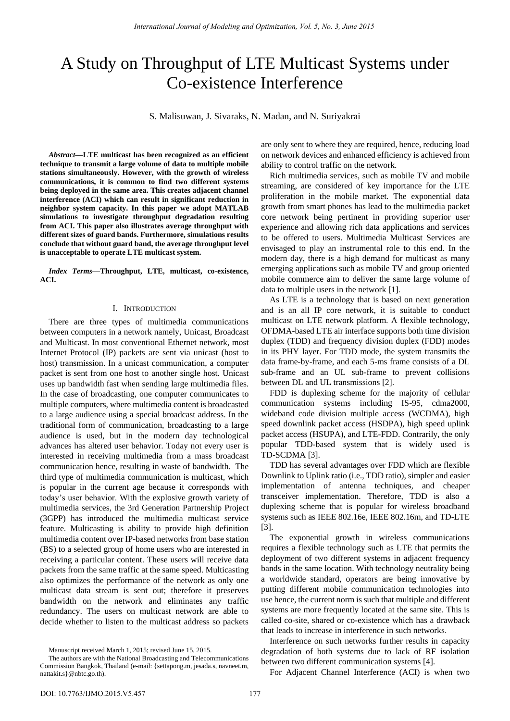# A Study on Throughput of LTE Multicast Systems under Co-existence Interference

S. Malisuwan, J. Sivaraks, N. Madan, and N. Suriyakrai

*Abstract***—LTE multicast has been recognized as an efficient technique to transmit a large volume of data to multiple mobile stations simultaneously. However, with the growth of wireless communications, it is common to find two different systems being deployed in the same area. This creates adjacent channel interference (ACI) which can result in significant reduction in neighbor system capacity. In this paper we adopt MATLAB simulations to investigate throughput degradation resulting from ACI. This paper also illustrates average throughput with different sizes of guard bands. Furthermore, simulations results conclude that without guard band, the average throughput level is unacceptable to operate LTE multicast system.** 

*Index Terms***—Throughput, LTE, multicast, co-existence, ACI.** 

# I. INTRODUCTION

There are three types of multimedia communications between computers in a network namely, Unicast, Broadcast and Multicast. In most conventional Ethernet network, most Internet Protocol (IP) packets are sent via unicast (host to host) transmission. In a unicast communication, a computer packet is sent from one host to another single host. Unicast uses up bandwidth fast when sending large multimedia files. In the case of broadcasting, one computer communicates to multiple computers, where multimedia content is broadcasted to a large audience using a special broadcast address. In the traditional form of communication, broadcasting to a large audience is used, but in the modern day technological advances has altered user behavior. Today not every user is interested in receiving multimedia from a mass broadcast communication hence, resulting in waste of bandwidth. The third type of multimedia communication is multicast, which is popular in the current age because it corresponds with today's user behavior. With the explosive growth variety of multimedia services, the 3rd Generation Partnership Project (3GPP) has introduced the multimedia multicast service feature. Multicasting is ability to provide high definition multimedia content over IP-based networks from base station (BS) to a selected group of home users who are interested in receiving a particular content. These users will receive data packets from the same traffic at the same speed. Multicasting also optimizes the performance of the network as only one multicast data stream is sent out; therefore it preserves bandwidth on the network and eliminates any traffic redundancy. The users on multicast network are able to decide whether to listen to the multicast address so packets are only sent to where they are required, hence, reducing load on network devices and enhanced efficiency is achieved from ability to control traffic on the network.

Rich multimedia services, such as mobile TV and mobile streaming, are considered of key importance for the LTE proliferation in the mobile market. The exponential data growth from smart phones has lead to the multimedia packet core network being pertinent in providing superior user experience and allowing rich data applications and services to be offered to users. Multimedia Multicast Services are envisaged to play an instrumental role to this end. In the modern day, there is a high demand for multicast as many emerging applications such as mobile TV and group oriented mobile commerce aim to deliver the same large volume of data to multiple users in the network [\[1\]](#page-3-0).

As LTE is a technology that is based on next generation and is an all IP core network, it is suitable to conduct multicast on LTE network platform. A flexible technology, OFDMA-based LTE air interface supports both time division duplex (TDD) and frequency division duplex (FDD) modes in its PHY layer. For TDD mode, the system transmits the data frame-by-frame, and each 5-ms frame consists of a DL sub-frame and an UL sub-frame to prevent collisions between DL and UL transmissions [\[2\]](#page-3-1).

FDD is duplexing scheme for the majority of cellular communication systems including IS-95, cdma2000, wideband code division multiple access (WCDMA), high speed downlink packet access (HSDPA), high speed uplink packet access (HSUPA), and LTE-FDD. Contrarily, the only popular TDD-based system that is widely used is TD-SCDMA [\[3\]](#page-3-2).

TDD has several advantages over FDD which are flexible Downlink to Uplink ratio (i.e., TDD ratio), simpler and easier implementation of antenna techniques, and cheaper transceiver implementation. Therefore, TDD is also a duplexing scheme that is popular for wireless broadband systems such as IEEE 802.16e, IEEE 802.16m, and TD-LTE [\[3\]](#page-3-2).

The exponential growth in wireless communications requires a flexible technology such as LTE that permits the deployment of two different systems in adjacent frequency bands in the same location. With technology neutrality being a worldwide standard, operators are being innovative by putting different mobile communication technologies into use hence, the current norm is such that multiple and different systems are more frequently located at the same site. This is called co-site, shared or co-existence which has a drawback that leads to increase in interference in such networks.

Interference on such networks further results in capacity degradation of both systems due to lack of RF isolation between two different communication systems [\[4\]](#page-3-3).

For Adjacent Channel Interference (ACI) is when two

Manuscript received March 1, 2015; revised June 15, 2015.

The authors are with the National Broadcasting and Telecommunications Commission Bangkok, Thailand (e-mail: {settapong.m, jesada.s, navneet.m, nattakit.s}@nbtc.go.th).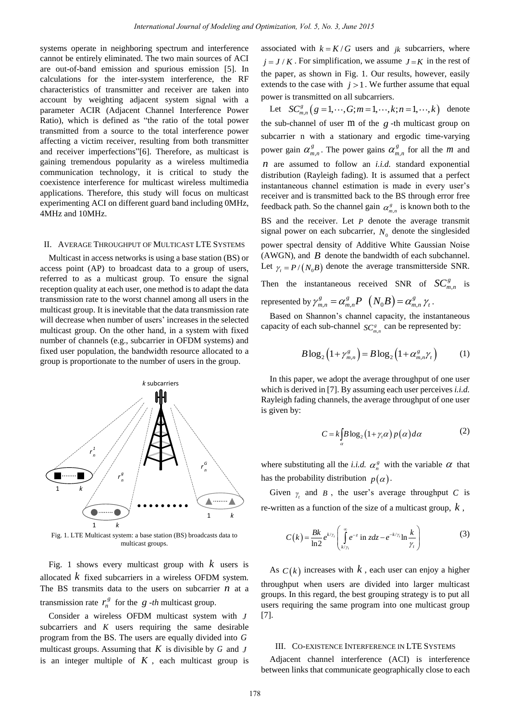systems operate in neighboring spectrum and interference cannot be entirely eliminated. The two main sources of ACI are out-of-band emission and spurious emission [\[5\]](#page-3-4). In calculations for the inter-system interference, the RF characteristics of transmitter and receiver are taken into account by weighting adjacent system signal with a parameter ACIR (Adjacent Channel Interference Power Ratio), which is defined as "the ratio of the total power transmitted from a source to the total interference power affecting a victim receiver, resulting from both transmitter and receiver imperfections"[\[6\]](#page-3-5). Therefore, as multicast is gaining tremendous popularity as a wireless multimedia communication technology, it is critical to study the coexistence interference for multicast wireless multimedia applications. Therefore, this study will focus on multicast experimenting ACI on different guard band including 0MHz, 4MHz and 10MHz.

### II. AVERAGE THROUGHPUT OF MULTICAST LTE SYSTEMS

Multicast in access networks is using a base station (BS) or access point (AP) to broadcast data to a group of users, referred to as a multicast group. To ensure the signal reception quality at each user, one method is to adapt the data transmission rate to the worst channel among all users in the multicast group. It is inevitable that the data transmission rate will decrease when number of users' increases in the selected multicast group. On the other hand, in a system with fixed number of channels (e.g., subcarrier in OFDM systems) and fixed user population, the bandwidth resource allocated to a group is proportionate to the number of users in the group.



Fig. 1. LTE Multicast system: a base station (BS) broadcasts data to multicast groups.

Fig. 1 shows every multicast group with *k* users is allocated *k* fixed subcarriers in a wireless OFDM system. The BS transmits data to the users on subcarrier *n* at a transmission rate  $r_n^g$  for the *g* -*th* multicast group.

Consider a wireless OFDM multicast system with *J* subcarriers and *K* users requiring the same desirable program from the BS. The users are equally divided into *G* multicast groups. Assuming that *K* is divisible by *G* and *J* is an integer multiple of  $K$ , each multicast group is associated with  $k = K/G$  users and  $jk$  subcarriers, where  $j = J/K$ . For simplification, we assume  $J = K$  in the rest of the paper, as shown in Fig. 1. Our results, however, easily extends to the case with  $j > 1$ . We further assume that equal power is transmitted on all subcarriers.

Let  $SC_{m,n}^{s} (g = 1, \dots, G; m = 1, \dots, k; n = 1, \dots, k)$  denote the sub-channel of user m of the *g* -th multicast group on subcarrier n with a stationary and ergodic time-varying power gain  $\alpha_{m,n}^g$ . The power gains  $\alpha_{m,n}^g$  for all the *m* and *n* are assumed to follow an *i.i.d.* standard exponential distribution (Rayleigh fading). It is assumed that a perfect instantaneous channel estimation is made in every user's receiver and is transmitted back to the BS through error free feedback path. So the channel gain  $\alpha_{m,n}^s$  is known both to the BS and the receiver. Let *P* denote the average transmit signal power on each subcarrier,  $N_0$  denote the singlesided power spectral density of Additive White Gaussian Noise (AWGN), and *B* denote the bandwidth of each subchannel. Let  $\gamma_t = P/(N_0 B)$  denote the average transmitterside SNR.

Then the instantaneous received SNR of  $SC_{m,n}^g$ *g*  $SC_{m,n}^g$  is represented by  $\gamma_{m,n}^g = \alpha_{m,n}^g P \left( N_0 B \right) = \alpha_{m,n}^g \gamma_t$ .

Based on Shannon's channel capacity, the instantaneous capacity of each sub-channel  $SC_{m,n}^s$  can be represented by:

$$
B\log_2\left(1+\gamma_{m,n}^s\right) = B\log_2\left(1+\alpha_{m,n}^s\gamma_t\right) \tag{1}
$$

In this paper, we adopt the average throughput of one user which is derived in [\[7\]](#page-3-6). By assuming each user perceives *i.i.d.*  Rayleigh fading channels, the average throughput of one user is given by:

$$
C = k \int_{\alpha} B \log_2 (1 + \gamma_i \alpha) p(\alpha) d\alpha \tag{2}
$$

where substituting all the *i.i.d.*  $\alpha_n^s$  with the variable  $\alpha$  that has the probability distribution  $p(\alpha)$ .

Given  $\gamma_t$  and *B*, the user's average throughput *C* is re-written as a function of the size of a multicast group, *k* ,

$$
C(k) = \frac{Bk}{\ln 2} e^{k/\gamma_t} \left( \int_{k/\gamma_t}^{\infty} e^{-z} \text{ in } z dz - e^{-k/\gamma_t} \ln \frac{k}{\gamma_t} \right)
$$
 (3)

As  $C(k)$  increases with  $k$ , each user can enjoy a higher throughput when users are divided into larger multicast groups. In this regard, the best grouping strategy is to put all users requiring the same program into one multicast group [\[7\]](#page-3-6).

## III. CO-EXISTENCE INTERFERENCE IN LTE SYSTEMS

Adjacent channel interference (ACI) is interference between links that communicate geographically close to each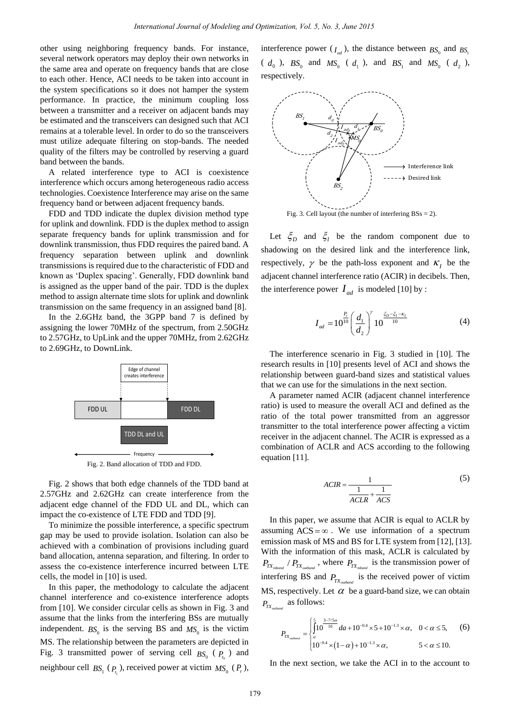other using neighboring frequency bands. For instance, several network operators may deploy their own networks in the same area and operate on frequency bands that are close to each other. Hence, ACI needs to be taken into account in the system specifications so it does not hamper the system performance. In practice, the minimum coupling loss between a transmitter and a receiver on adjacent bands may be estimated and the transceivers can designed such that ACI remains at a tolerable level. In order to do so the transceivers must utilize adequate filtering on stop-bands. The needed quality of the filters may be controlled by reserving a guard band between the bands.

A related interference type to ACI is coexistence interference which occurs among heterogeneous radio access technologies. Coexistence Interference may arise on the same frequency band or between adjacent frequency bands.

FDD and TDD indicate the duplex division method type for uplink and downlink. FDD is the duplex method to assign separate frequency bands for uplink transmission and for downlink transmission, thus FDD requires the paired band. A frequency separation between uplink and downlink transmissions is required due to the characteristic of FDD and known as 'Duplex spacing'. Generally, FDD downlink band is assigned as the upper band of the pair. TDD is the duplex method to assign alternate time slots for uplink and downlink transmission on the same frequency in an assigned band [\[8\]](#page-3-7).

In the 2.6GHz band, the 3GPP band 7 is defined by assigning the lower 70MHz of the spectrum, from 2.50GHz to 2.57GHz, to UpLink and the upper 70MHz, from 2.62GHz to 2.69GHz, to DownLink.



Fig. 2. Band allocation of TDD and FDD.

Fig. 2 shows that both edge channels of the TDD band at 2.57GHz and 2.62GHz can create interference from the adjacent edge channel of the FDD UL and DL, which can impact the co-existence of LTE FDD and TDD [\[9\]](#page-3-8).

To minimize the possible interference, a specific spectrum gap may be used to provide isolation. Isolation can also be achieved with a combination of provisions including guard band allocation, antenna separation, and filtering. In order to assess the co-existence interference incurred between LTE cells, the model in [\[10\]](#page-3-9) is used.

In this paper, the methodology to calculate the adjacent channel interference and co-existence interference adopts from [\[10\]](#page-3-9). We consider circular cells as shown in Fig. 3 and assume that the links from the interfering BSs are mutually independent.  $BS_0$  is the serving BS and  $MS_0$  is the victim MS. The relationship between the parameters are depicted in Fig. 3 transmitted power of serving cell  $BS_0$  ( $P_{t_0}$ ) and neighbour cell  $BS_1$  ( $P_{t_1}$ ), received power at victim  $MS_0$  ( $P_r$ ),

interference power  $(I_{ad})$ , the distance between  $BS_0$  and  $BS_1$  $(d_0)$ ,  $BS_0$  and  $MS_0$  ( $d_1$ ), and  $BS_1$  and  $MS_0$  ( $d_2$ ), respectively.



Fig. 3. Cell layout (the number of interfering  $BSs = 2$ ).

Let  $\zeta_D$  and  $\zeta_I$  be the random component due to shadowing on the desired link and the interference link, respectively,  $\gamma$  be the path-loss exponent and  $K_I$  be the adjacent channel interference ratio (ACIR) in decibels. Then, the interference power  $I_{ad}$  is modeled [\[10\]](#page-3-9) by :

$$
I_{ad} = 10^{\frac{P_r}{10}} \left(\frac{d_1}{d_2}\right)^{\gamma} 10^{\frac{\xi_D - \xi_I - \kappa_I}{10}}
$$
(4)

The interference scenario in Fig. 3 studied in [\[10\]](#page-3-9). The research results in [\[10\]](#page-3-9) presents level of ACI and shows the relationship between guard-band sizes and statistical values that we can use for the simulations in the next section.

A parameter named ACIR (adjacent channel interference ratio) is used to measure the overall ACI and defined as the ratio of the total power transmitted from an aggressor transmitter to the total interference power affecting a victim receiver in the adjacent channel. The ACIR is expressed as a combination of ACLR and ACS according to the following equation [\[11\]](#page-3-10).

$$
ACIR = \frac{1}{\frac{1}{ACLR} + \frac{1}{ACS}}
$$
 (5)

In this paper, we assume that ACIR is equal to ACLR by assuming  $ACS = \infty$ . We use information of a spectrum emission mask of MS and BS for LTE system from [\[12\]](#page-3-11), [\[13\]](#page-3-12). With the information of this mask, ACLR is calculated by  $P_{TX_{inbound}}$  /  $P_{TX_{outbound}}$ , where  $P_{TX_{inbound}}$  is the transmission power of interfering BS and  $P_{TX_{outbound}}$  is the received power of victim MS, respectively. Let  $\alpha$  be a guard-band size, we can obtain  $P_{TX_{\text{outband}}}$  as follows:

$$
P_{TX_{\text{outbound}}} = \begin{cases} \int_{\alpha}^{5} 10^{\frac{3-7/5\alpha}{10}} da + 10^{-0.4} \times 5 + 10^{-1.3} \times \alpha, & 0 < \alpha \le 5, \\ a & 10^{-0.4} \times (1 - \alpha) + 10^{-1.3} \times \alpha, & 5 < \alpha \le 10. \end{cases}
$$
 (6)

In the next section, we take the ACI in to the account to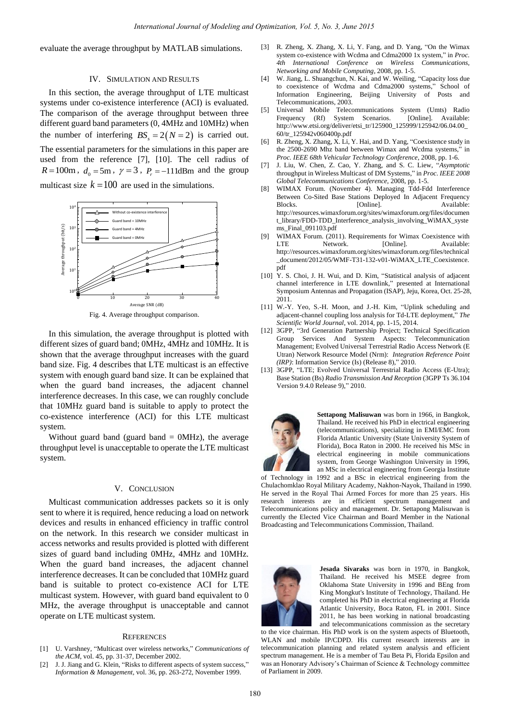evaluate the average throughput by MATLAB simulations.

# IV. SIMULATION AND RESULTS

In this section, the average throughput of LTE multicast systems under co-existence interference (ACI) is evaluated. The comparison of the average throughput between three different guard band parameters (0, 4MHz and 10MHz) when the number of interfering  $BS<sub>s</sub> = 2(N = 2)$  is carried out. The essential parameters for the simulations in this paper are used from the reference [\[7\]](#page-3-6), [\[10\]](#page-3-9). The cell radius of  $R = 100$ m,  $d_0 = 5$ m,  $\gamma = 3$ ,  $P_r = -111$ dBm and the group multicast size  $k = 100$  are used in the simulations.



Fig. 4. Average throughput comparison.

In this simulation, the average throughput is plotted with different sizes of guard band; 0MHz, 4MHz and 10MHz. It is shown that the average throughput increases with the guard band size. Fig. 4 describes that LTE multicast is an effective system with enough guard band size. It can be explained that when the guard band increases, the adjacent channel interference decreases. In this case, we can roughly conclude that 10MHz guard band is suitable to apply to protect the co-existence interference (ACI) for this LTE multicast system.

Without guard band (guard band  $=$  0MHz), the average throughput level is unacceptable to operate the LTE multicast system.

## V. CONCLUSION

Multicast communication addresses packets so it is only sent to where it is required, hence reducing a load on network devices and results in enhanced efficiency in traffic control on the network. In this research we consider multicast in access networks and results provided is plotted with different sizes of guard band including 0MHz, 4MHz and 10MHz. When the guard band increases, the adjacent channel interference decreases. It can be concluded that 10MHz guard band is suitable to protect co-existence ACI for LTE multicast system. However, with guard band equivalent to 0 MHz, the average throughput is unacceptable and cannot operate on LTE multicast system.

### **REFERENCES**

- <span id="page-3-0"></span>[1] U. Varshney, "Multicast over wireless networks," *Communications of the ACM*, vol. 45, pp. 31-37, December 2002.
- <span id="page-3-1"></span>[2] J. J. Jiang and G. Klein, "Risks to different aspects of system success," *Information & Management,* vol. 36, pp. 263-272, November 1999.
- <span id="page-3-2"></span>[3] R. Zheng, X. Zhang, X. Li, Y. Fang, and D. Yang, "On the Wimax system co-existence with Wcdma and Cdma2000 1x system," in *Proc. 4th International Conference on Wireless Communications, Networking and Mobile Computing*, 2008, pp. 1-5.
- <span id="page-3-3"></span>[4] W. Jiang, L. Shuangchun, N. Kai, and W. Weiling, "Capacity loss due to coexistence of Wcdma and Cdma2000 systems," School of Information Engineering, Beijing University of Posts and Telecommunications, 2003.
- <span id="page-3-4"></span>[5] Universal Mobile Telecommunications System (Umts) Radio Frequency (Rf) System Scenarios. http://www.etsi.org/deliver/etsi\_tr/125900\_125999/125942/06.04.00\_ 60/tr\_125942v060400p.pdf
- <span id="page-3-5"></span>[6] R. Zheng, X. Zhang, X. Li, Y. Hai, and D. Yang, "Coexistence study in the 2500-2690 Mhz band between Wimax and Wcdma systems," in *Proc. IEEE 68th Vehicular Technology Conference*, 2008, pp. 1-6.
- <span id="page-3-6"></span>[7] J. Liu, W. Chen, Z. Cao, Y. Zhang, and S. C. Liew, "*Asymptotic*  throughput in Wireless Multicast of DM Systems*,*" in *Proc. IEEE 2008 Global Telecommunications Conference,* 2008, pp. 1-5.
- <span id="page-3-7"></span>[8] WIMAX Forum. (November 4). Managing Tdd-Fdd Interference Between Co-Sited Base Stations Deployed In Adjacent Frequency Blocks. [Online]. Available: http://resources.wimaxforum.org/sites/wimaxforum.org/files/documen t\_library/FDD-TDD\_Interference\_analysis\_involving\_WiMAX\_syste ms\_Final\_091103.pdf
- <span id="page-3-8"></span>[9] WIMAX Forum. (2011). Requirements for Wimax Coexistence with LTE Network. [Online]. Available: http://resources.wimaxforum.org/sites/wimaxforum.org/files/technical document/2012/05/WMF-T31-132-v01-WiMAX\_LTE\_Coexistence. pdf
- <span id="page-3-9"></span>[10] Y. S. Choi, J. H. Wui, and D. Kim, "Statistical analysis of adjacent channel interference in LTE downlink," presented at International Symposium Antennas and Propagation (ISAP), Jeju, Korea, Oct. 25-28, 2011.
- <span id="page-3-10"></span>[11] W.-Y. Yeo, S.-H. Moon, and J.-H. Kim, "Uplink scheduling and adjacent-channel coupling loss analysis for Td-LTE deployment," *The Scientific World Journal*, vol. 2014, pp. 1-15, 2014.
- <span id="page-3-11"></span>[12] 3GPP, "3rd Generation Partnership Project; Technical Specification Group Services And System Aspects: Telecommunication Management; Evolved Universal Terrestrial Radio Access Network (E Utran) Network Resource Model (Nrm): *Integration Reference Point (IRP)*: Information Service (Is) (Release 8)," 2010.
- <span id="page-3-12"></span>[13] 3GPP, "LTE; Evolved Universal Terrestrial Radio Access (E-Utra); Base Station (Bs) *Radio Transmission And Reception* (3GPP Ts 36.104 Version 9.4.0 Release 9)," 2010.



**Settapong Malisuwan** was born in 1966, in Bangkok, Thailand. He received his PhD in electrical engineering (telecommunications), specializing in EMI/EMC from Florida Atlantic University (State University System of Florida), Boca Raton in 2000. He received his MSc in electrical engineering in mobile communications system, from George Washington University in 1996, an MSc in electrical engineering from Georgia Institute

of Technology in 1992 and a BSc in electrical engineering from the Chulachomklao Royal Military Academy, Nakhon-Nayok, Thailand in 1990. He served in the Royal Thai Armed Forces for more than 25 years. His research interests are in efficient spectrum management and Telecommunications policy and management. Dr. Settapong Malisuwan is currently the Elected Vice Chairman and Board Member in the National Broadcasting and Telecommunications Commission, Thailand.



**Jesada Sivaraks** was born in 1970, in Bangkok, Thailand. He received his MSEE degree from Oklahoma State University in 1996 and BEng from King Mongkut's Institute of Technology, Thailand. He completed his PhD in electrical engineering at Florida Atlantic University, Boca Raton, FL in 2001. Since 2011, he has been working in national broadcasting and telecommunications commission as the secretary

to the vice chairman. His PhD work is on the system aspects of Bluetooth, WLAN and mobile IP/CDPD. His current research interests are in telecommunication planning and related system analysis and efficient spectrum management. He is a member of Tau Beta Pi, Florida Epsilon and was an Honorary Advisory's Chairman of Science & Technology committee of Parliament in 2009.